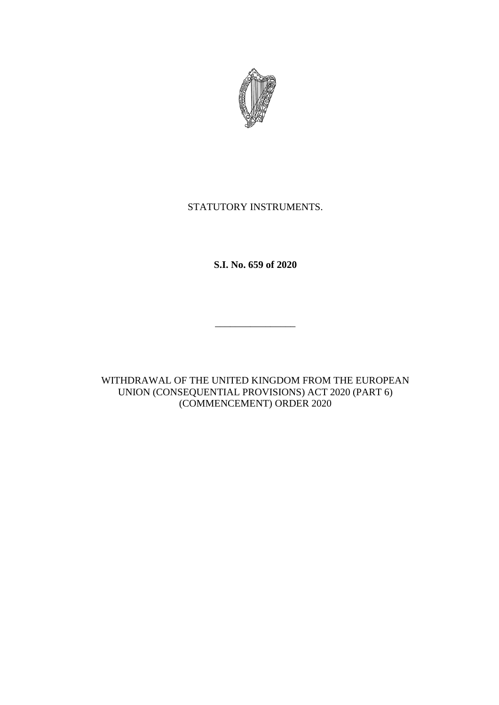

## STATUTORY INSTRUMENTS.

**S.I. No. 659 of 2020**

\_\_\_\_\_\_\_\_\_\_\_\_\_\_\_\_

WITHDRAWAL OF THE UNITED KINGDOM FROM THE EUROPEAN UNION (CONSEQUENTIAL PROVISIONS) ACT 2020 (PART 6) (COMMENCEMENT) ORDER 2020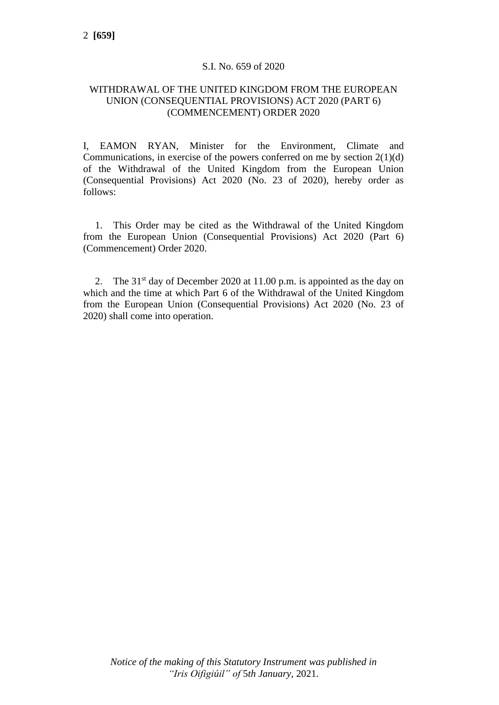## S.I. No. 659 of 2020

## WITHDRAWAL OF THE UNITED KINGDOM FROM THE EUROPEAN UNION (CONSEQUENTIAL PROVISIONS) ACT 2020 (PART 6) (COMMENCEMENT) ORDER 2020

I, EAMON RYAN, Minister for the Environment, Climate and Communications, in exercise of the powers conferred on me by section  $2(1)(d)$ of the Withdrawal of the United Kingdom from the European Union (Consequential Provisions) Act 2020 (No. 23 of 2020), hereby order as follows:

1. This Order may be cited as the Withdrawal of the United Kingdom from the European Union (Consequential Provisions) Act 2020 (Part 6) (Commencement) Order 2020.

2. The  $31<sup>st</sup>$  day of December 2020 at 11.00 p.m. is appointed as the day on which and the time at which Part 6 of the Withdrawal of the United Kingdom from the European Union (Consequential Provisions) Act 2020 (No. 23 of 2020) shall come into operation.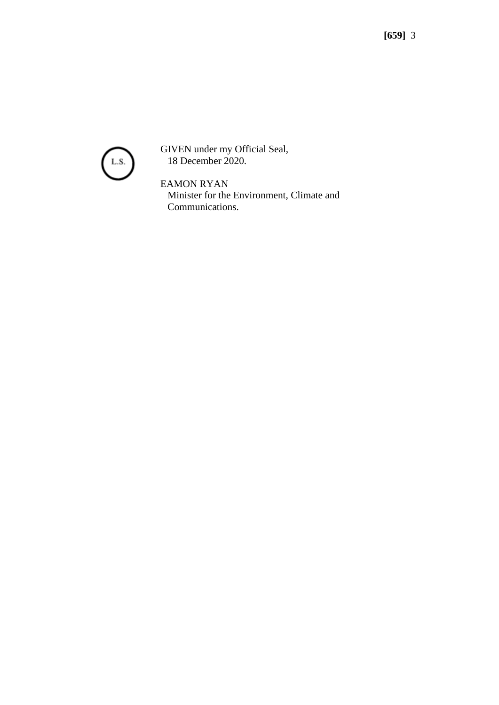

GIVEN under my Official Seal, 18 December 2020.

EAMON RYAN Minister for the Environment, Climate and Communications.